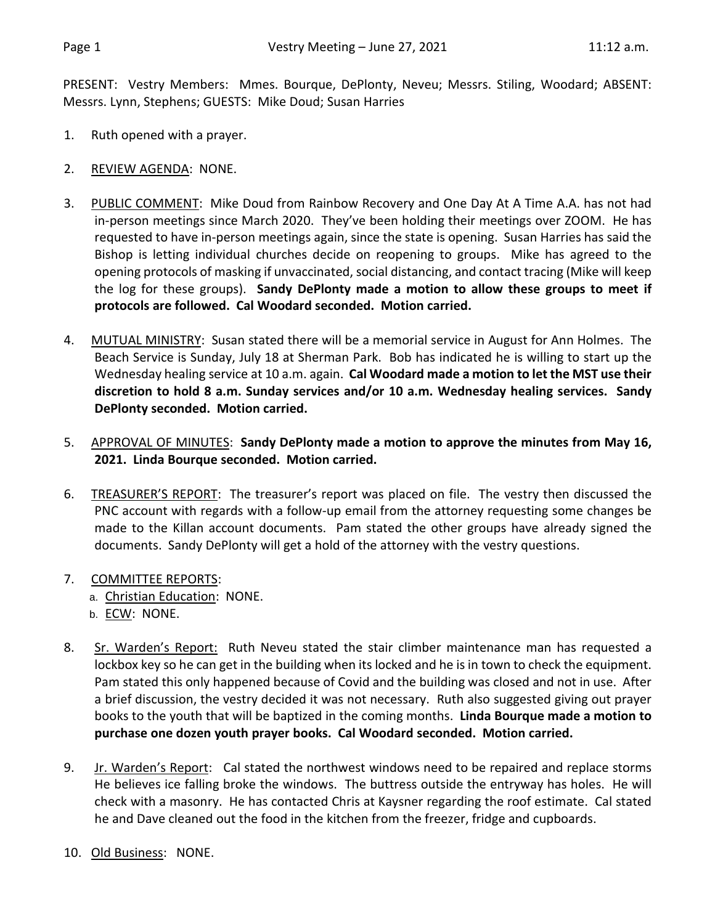PRESENT: Vestry Members: Mmes. Bourque, DePlonty, Neveu; Messrs. Stiling, Woodard; ABSENT: Messrs. Lynn, Stephens; GUESTS: Mike Doud; Susan Harries

- 1. Ruth opened with a prayer.
- 2. REVIEW AGENDA: NONE.
- 3. PUBLIC COMMENT: Mike Doud from Rainbow Recovery and One Day At A Time A.A. has not had in-person meetings since March 2020. They've been holding their meetings over ZOOM. He has requested to have in-person meetings again, since the state is opening. Susan Harries has said the Bishop is letting individual churches decide on reopening to groups. Mike has agreed to the opening protocols of masking if unvaccinated, social distancing, and contact tracing (Mike will keep the log for these groups). **Sandy DePlonty made a motion to allow these groups to meet if protocols are followed. Cal Woodard seconded. Motion carried.**
- 4. MUTUAL MINISTRY: Susan stated there will be a memorial service in August for Ann Holmes. The Beach Service is Sunday, July 18 at Sherman Park. Bob has indicated he is willing to start up the Wednesday healing service at 10 a.m. again. **Cal Woodard made a motion to let the MST use their discretion to hold 8 a.m. Sunday services and/or 10 a.m. Wednesday healing services. Sandy DePlonty seconded. Motion carried.**
- 5. APPROVAL OF MINUTES: **Sandy DePlonty made a motion to approve the minutes from May 16, 2021. Linda Bourque seconded. Motion carried.**
- 6. TREASURER'S REPORT: The treasurer's report was placed on file. The vestry then discussed the PNC account with regards with a follow-up email from the attorney requesting some changes be made to the Killan account documents. Pam stated the other groups have already signed the documents. Sandy DePlonty will get a hold of the attorney with the vestry questions.
- 7. COMMITTEE REPORTS:
	- a. Christian Education: NONE.
	- b. ECW: NONE.
- 8. Sr. Warden's Report: Ruth Neveu stated the stair climber maintenance man has requested a lockbox key so he can get in the building when its locked and he is in town to check the equipment. Pam stated this only happened because of Covid and the building was closed and not in use. After a brief discussion, the vestry decided it was not necessary. Ruth also suggested giving out prayer books to the youth that will be baptized in the coming months. **Linda Bourque made a motion to purchase one dozen youth prayer books. Cal Woodard seconded. Motion carried.**
- 9. Jr. Warden's Report: Cal stated the northwest windows need to be repaired and replace storms He believes ice falling broke the windows. The buttress outside the entryway has holes. He will check with a masonry. He has contacted Chris at Kaysner regarding the roof estimate. Cal stated he and Dave cleaned out the food in the kitchen from the freezer, fridge and cupboards.
- 10. Old Business: NONE.